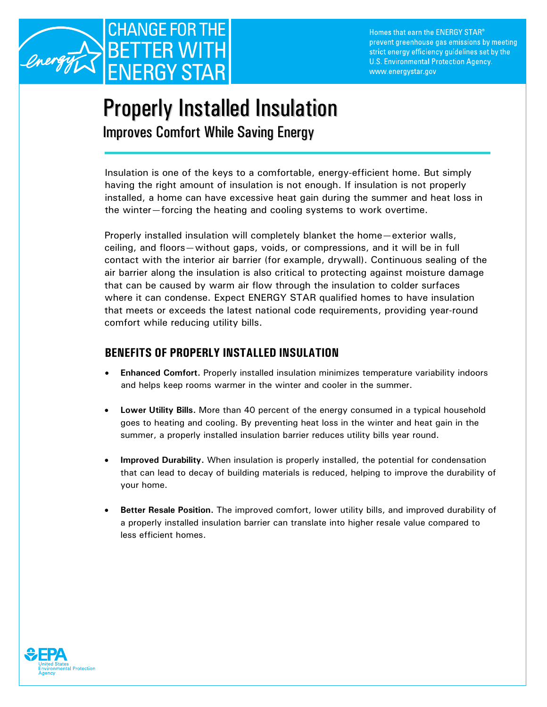

Homes that earn the ENERGY STAR® prevent greenhouse gas emissions by meeting strict energy efficiency guidelines set by the U.S. Environmental Protection Agency. www.energystar.gov

## Properly Installed Insulation

Improves Comfort While Saving Energy

Insulation is one of the keys to a comfortable, energy-efficient home. But simply having the right amount of insulation is not enough. If insulation is not properly installed, a home can have excessive heat gain during the summer and heat loss in the winter—forcing the heating and cooling systems to work overtime.

Properly installed insulation will completely blanket the home—exterior walls, ceiling, and floors—without gaps, voids, or compressions, and it will be in full contact with the interior air barrier (for example, drywall). Continuous sealing of the air barrier along the insulation is also critical to protecting against moisture damage that can be caused by warm air flow through the insulation to colder surfaces where it can condense. Expect ENERGY STAR qualified homes to have insulation that meets or exceeds the latest national code requirements, providing year-round comfort while reducing utility bills.

## **BENEFITS OF PROPERLY INSTALLED INSULATION**

- **Enhanced Comfort.** Properly installed insulation minimizes temperature variability indoors and helps keep rooms warmer in the winter and cooler in the summer.
- **Lower Utility Bills.** More than 40 percent of the energy consumed in a typical household goes to heating and cooling. By preventing heat loss in the winter and heat gain in the summer, a properly installed insulation barrier reduces utility bills year round.
- **Improved Durability.** When insulation is properly installed, the potential for condensation that can lead to decay of building materials is reduced, helping to improve the durability of your home.
- **Better Resale Position.** The improved comfort, lower utility bills, and improved durability of a properly installed insulation barrier can translate into higher resale value compared to less efficient homes.